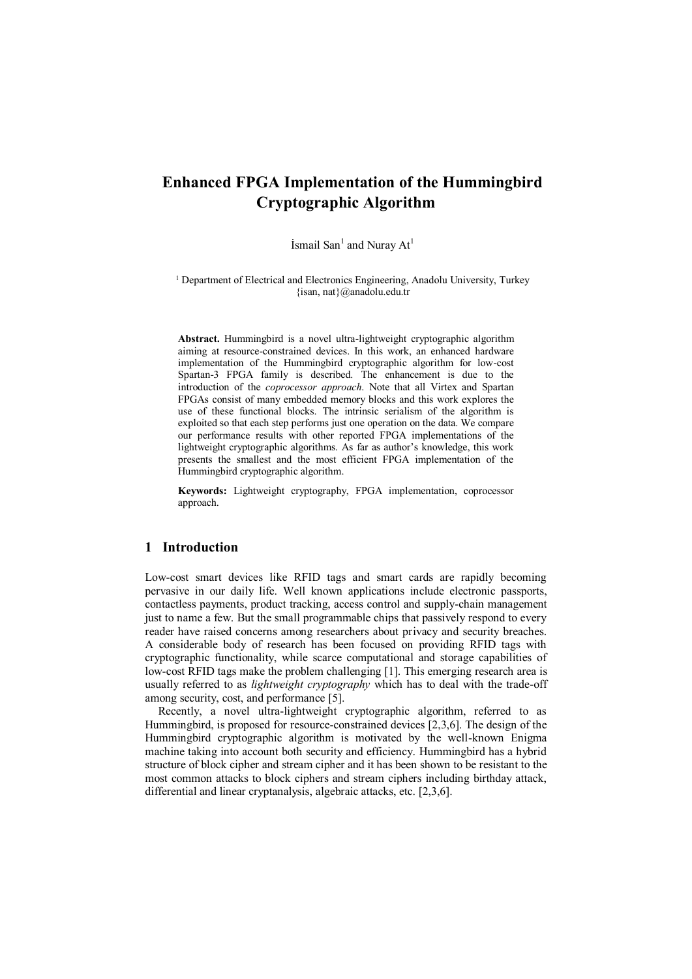# **Enhanced FPGA Implementation of the Hummingbird Cryptographic Algorithm**

Ismail San<sup>1</sup> and Nuray  $At<sup>1</sup>$ 

<sup>1</sup> Department of Electrical and Electronics Engineering, Anadolu University, Turkey {isan, nat}@anadolu.edu.tr

**Abstract.** Hummingbird is a novel ultra-lightweight cryptographic algorithm aiming at resource-constrained devices. In this work, an enhanced hardware implementation of the Hummingbird cryptographic algorithm for low-cost Spartan-3 FPGA family is described. The enhancement is due to the introduction of the *coprocessor approach*. Note that all Virtex and Spartan FPGAs consist of many embedded memory blocks and this work explores the use of these functional blocks. The intrinsic serialism of the algorithm is exploited so that each step performs just one operation on the data. We compare our performance results with other reported FPGA implementations of the lightweight cryptographic algorithms. As far as author's knowledge, this work presents the smallest and the most efficient FPGA implementation of the Hummingbird cryptographic algorithm.

**Keywords:** Lightweight cryptography, FPGA implementation, coprocessor approach.

# **1 Introduction**

Low-cost smart devices like RFID tags and smart cards are rapidly becoming pervasive in our daily life. Well known applications include electronic passports, contactless payments, product tracking, access control and supply-chain management just to name a few. But the small programmable chips that passively respond to every reader have raised concerns among researchers about privacy and security breaches. A considerable body of research has been focused on providing RFID tags with cryptographic functionality, while scarce computational and storage capabilities of low-cost RFID tags make the problem challenging [1]. This emerging research area is usually referred to as *lightweight cryptography* which has to deal with the trade-off among security, cost, and performance [5].

Recently, a novel ultra-lightweight cryptographic algorithm, referred to as Hummingbird, is proposed for resource-constrained devices [2,3,6]. The design of the Hummingbird cryptographic algorithm is motivated by the well-known Enigma machine taking into account both security and efficiency. Hummingbird has a hybrid structure of block cipher and stream cipher and it has been shown to be resistant to the most common attacks to block ciphers and stream ciphers including birthday attack, differential and linear cryptanalysis, algebraic attacks, etc. [2,3,6].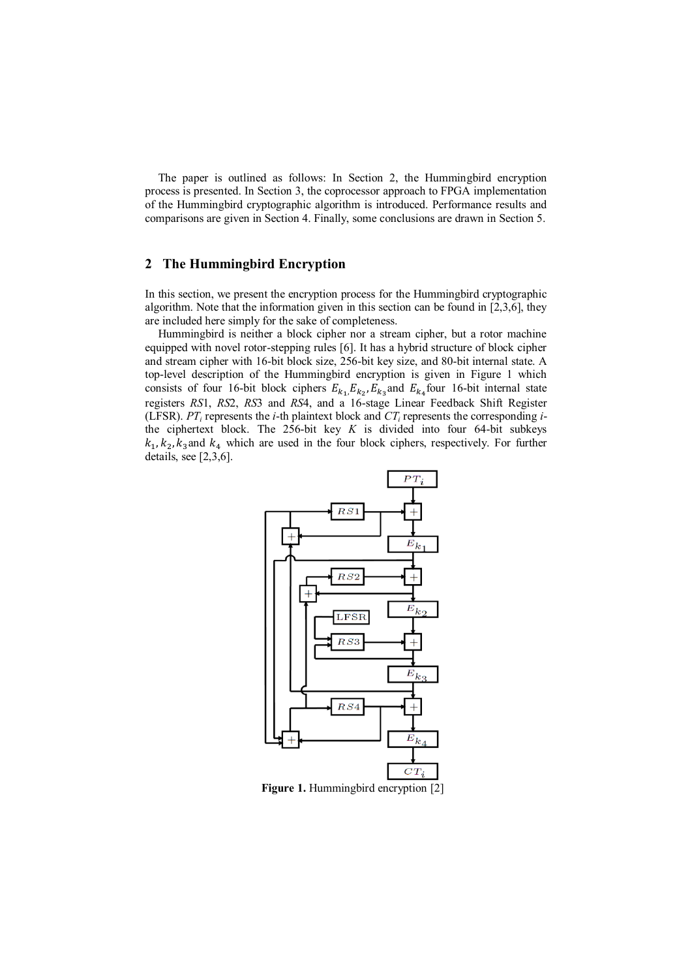The paper is outlined as follows: In Section 2, the Hummingbird encryption process is presented. In Section 3, the coprocessor approach to FPGA implementation of the Hummingbird cryptographic algorithm is introduced. Performance results and comparisons are given in Section 4. Finally, some conclusions are drawn in Section 5.

# **2 The Hummingbird Encryption**

In this section, we present the encryption process for the Hummingbird cryptographic algorithm. Note that the information given in this section can be found in [2,3,6], they are included here simply for the sake of completeness.

Hummingbird is neither a block cipher nor a stream cipher, but a rotor machine equipped with novel rotor-stepping rules [6]. It has a hybrid structure of block cipher and stream cipher with 16-bit block size, 256-bit key size, and 80-bit internal state. A top-level description of the Hummingbird encryption is given in Figure 1 which consists of four 16-bit block ciphers  $E_{k_1}E_{k_2}E_{k_3}$  and  $E_{k_4}$  four 16-bit internal state registers *RS*1, *RS*2, *RS*3 and *RS*4, and a 16-stage Linear Feedback Shift Register (LFSR).  $PT_i$  represents the *i*-th plaintext block and  $CT_i$  represents the corresponding *i*the ciphertext block. The 256-bit key *K* is divided into four 64-bit subkeys  $k_1, k_2, k_3$  and  $k_4$  which are used in the four block ciphers, respectively. For further details, see [2,3,6].



**Figure 1.** Hummingbird encryption [2]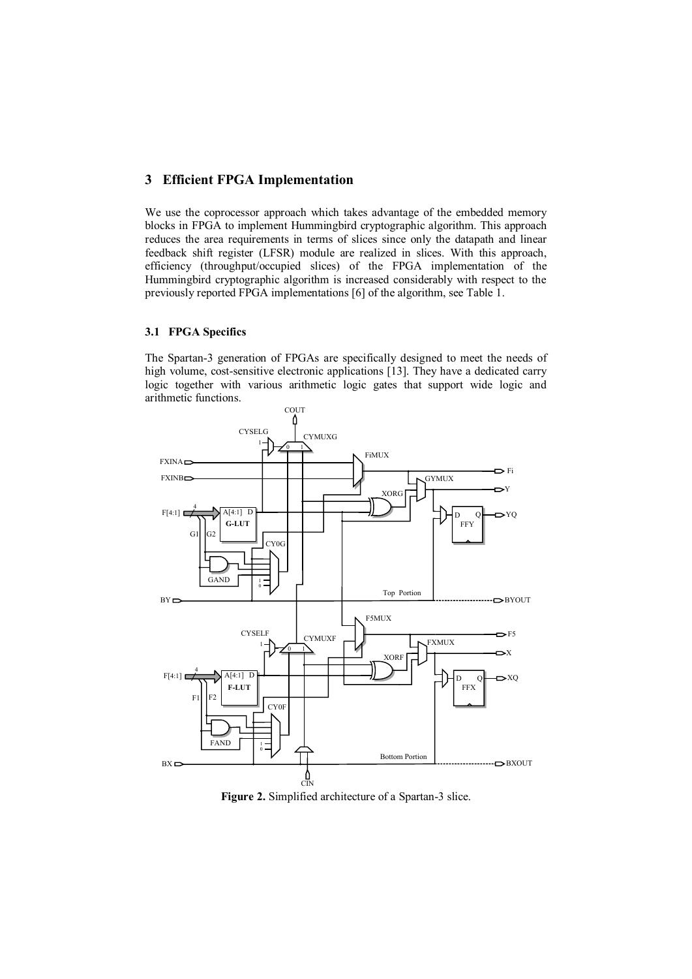# **3 Efficient FPGA Implementation**

We use the coprocessor approach which takes advantage of the embedded memory blocks in FPGA to implement Hummingbird cryptographic algorithm. This approach reduces the area requirements in terms of slices since only the datapath and linear feedback shift register (LFSR) module are realized in slices. With this approach, efficiency (throughput/occupied slices) of the FPGA implementation of the Hummingbird cryptographic algorithm is increased considerably with respect to the previously reported FPGA implementations [6] of the algorithm, see Table 1.

### **3.1 FPGA Specifics**

The Spartan-3 generation of FPGAs are specifically designed to meet the needs of high volume, cost-sensitive electronic applications [13]. They have a dedicated carry logic together with various arithmetic logic gates that support wide logic and arithmetic functions.



Figure 2. Simplified architecture of a Spartan-3 slice.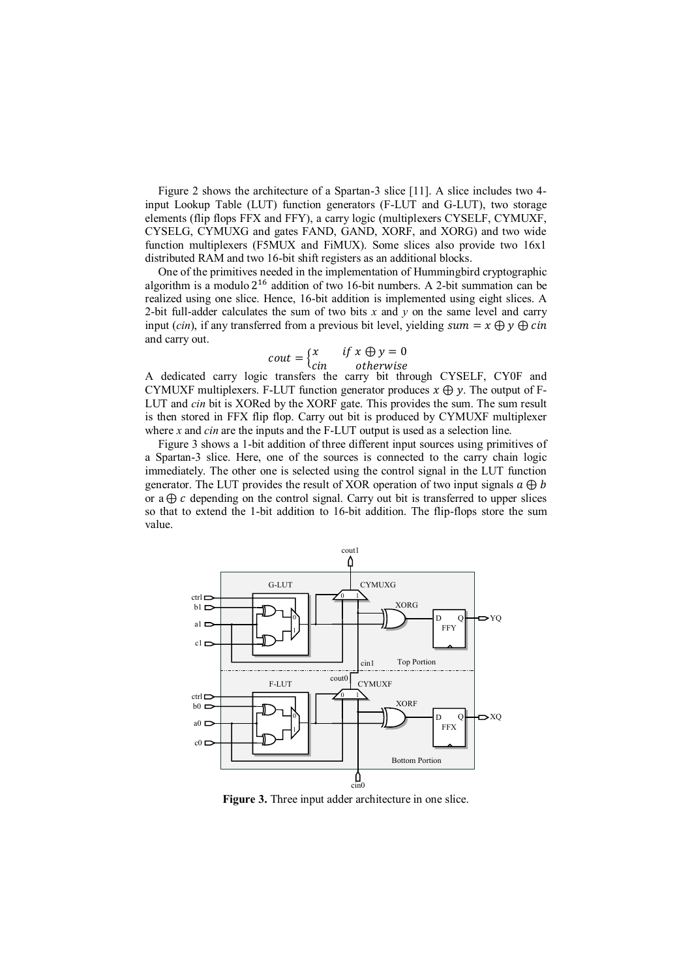Figure 2 shows the architecture of a Spartan-3 slice [11]. A slice includes two 4 input Lookup Table (LUT) function generators (F-LUT and G-LUT), two storage elements (flip flops FFX and FFY), a carry logic (multiplexers CYSELF, CYMUXF, CYSELG, CYMUXG and gates FAND, GAND, XORF, and XORG) and two wide function multiplexers (F5MUX and FiMUX). Some slices also provide two 16x1 distributed RAM and two 16-bit shift registers as an additional blocks.

One of the primitives needed in the implementation of Hummingbird cryptographic algorithm is a modulo  $2^{16}$  addition of two 16-bit numbers. A 2-bit summation can be realized using one slice. Hence, 16-bit addition is implemented using eight slices. A 2-bit full-adder calculates the sum of two bits  $x$  and  $y$  on the same level and carry input (*cin*), if any transferred from a previous bit level, yielding sum =  $x \oplus y \oplus c$  *in* and carry out.

$$
cout = \begin{cases} x & \text{if } x \oplus y = 0 \\ cin & \text{otherwise} \end{cases}
$$

A dedicated carry logic transfers the carry bit through CYSELF, CY0F and CYMUXF multiplexers. F-LUT function generator produces  $x \oplus y$ . The output of F-LUT and *cin* bit is XORed by the XORF gate. This provides the sum. The sum result is then stored in FFX flip flop. Carry out bit is produced by CYMUXF multiplexer where *x* and *cin* are the inputs and the F-LUT output is used as a selection line.

Figure 3 shows a 1-bit addition of three different input sources using primitives of a Spartan-3 slice. Here, one of the sources is connected to the carry chain logic immediately. The other one is selected using the control signal in the LUT function generator. The LUT provides the result of XOR operation of two input signals  $a \oplus b$ or a  $\oplus$  c depending on the control signal. Carry out bit is transferred to upper slices so that to extend the 1-bit addition to 16-bit addition. The flip-flops store the sum value.



**Figure 3.** Three input adder architecture in one slice.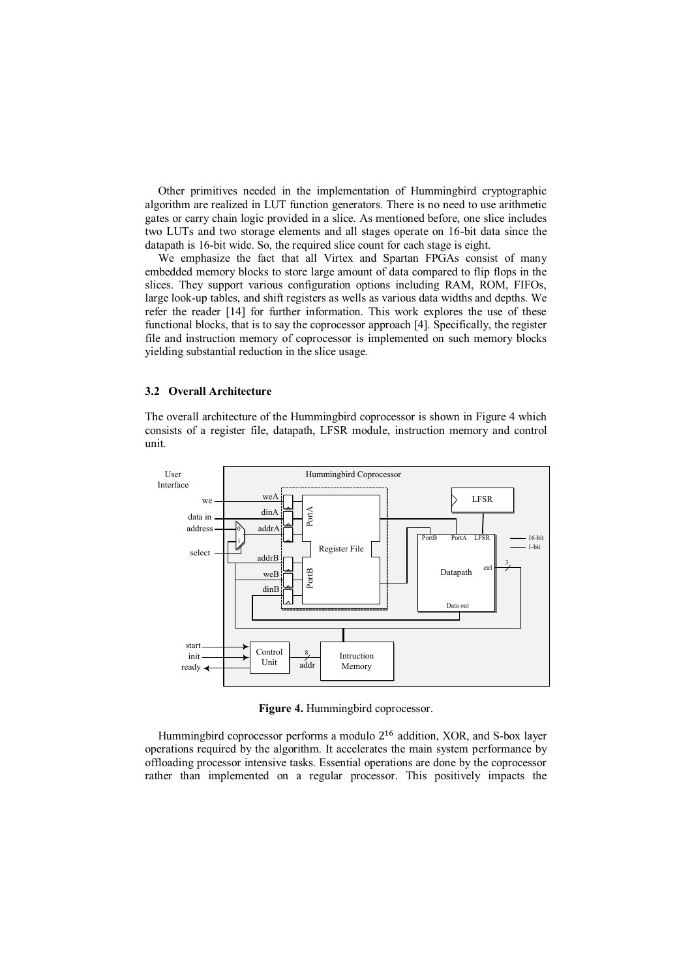Other primitives needed in the implementation of Hummingbird cryptographic algorithm are realized in LUT function generators. There is no need to use arithmetic gates or carry chain logic provided in a slice. As mentioned before, one slice includes two LUTs and two storage elements and all stages operate on 16-bit data since the datapath is 16-bit wide. So, the required slice count for each stage is eight.

We emphasize the fact that all Virtex and Spartan FPGAs consist of many embedded memory blocks to store large amount of data compared to flip flops in the slices. They support various configuration options including RAM, ROM, FIFOs, large look-up tables, and shift registers as wells as various data widths and depths. We refer the reader [14] for further information. This work explores the use of these functional blocks, that is to say the coprocessor approach [4]. Specifically, the register file and instruction memory of coprocessor is implemented on such memory blocks yielding substantial reduction in the slice usage.

#### **3.2 Overall Architecture**

The overall architecture of the Hummingbird coprocessor is shown in Figure 4 which consists of a register file, datapath, LFSR module, instruction memory and control unit.



**Figure 4.** Hummingbird coprocessor.

Hummingbird coprocessor performs a modulo 2<sup>16</sup> addition, XOR, and S-box layer operations required by the algorithm. It accelerates the main system performance by offloading processor intensive tasks. Essential operations are done by the coprocessor rather than implemented on a regular processor. This positively impacts the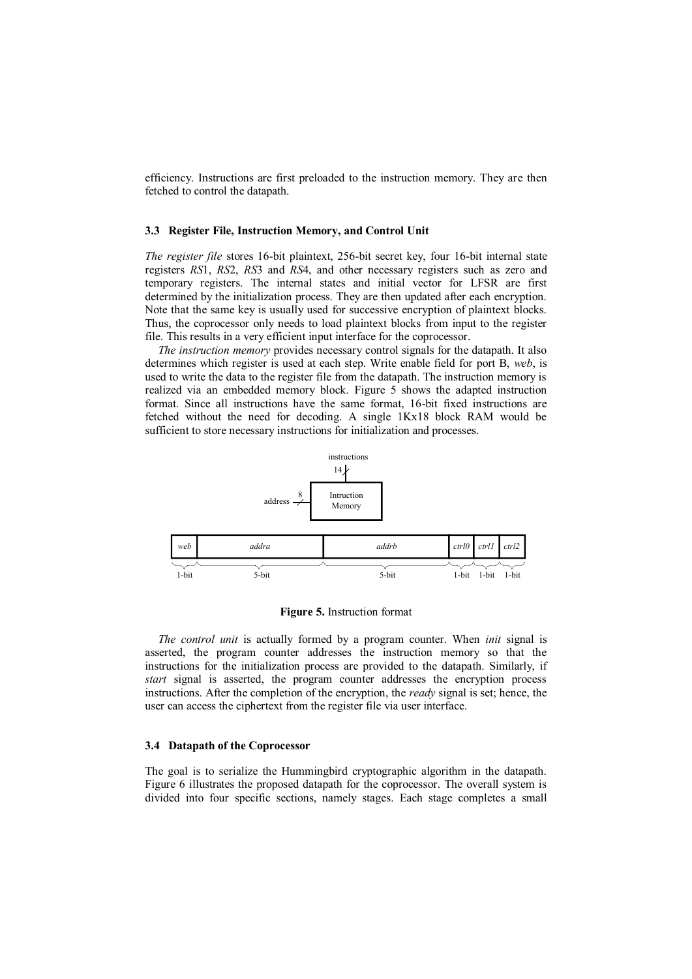efficiency. Instructions are first preloaded to the instruction memory. They are then fetched to control the datapath.

#### **3.3 Register File, Instruction Memory, and Control Unit**

*The register file* stores 16-bit plaintext, 256-bit secret key, four 16-bit internal state registers *RS*1, *RS*2, *RS*3 and *RS*4, and other necessary registers such as zero and temporary registers. The internal states and initial vector for LFSR are first determined by the initialization process. They are then updated after each encryption. Note that the same key is usually used for successive encryption of plaintext blocks. Thus, the coprocessor only needs to load plaintext blocks from input to the register file. This results in a very efficient input interface for the coprocessor.

*The instruction memory* provides necessary control signals for the datapath. It also determines which register is used at each step. Write enable field for port B, *web*, is used to write the data to the register file from the datapath. The instruction memory is realized via an embedded memory block. Figure 5 shows the adapted instruction format. Since all instructions have the same format, 16-bit fixed instructions are fetched without the need for decoding. A single 1Kx18 block RAM would be sufficient to store necessary instructions for initialization and processes.



**Figure 5.** Instruction format

*The control unit* is actually formed by a program counter. When *init* signal is asserted, the program counter addresses the instruction memory so that the instructions for the initialization process are provided to the datapath. Similarly, if *start* signal is asserted, the program counter addresses the encryption process instructions. After the completion of the encryption, the *ready* signal is set; hence, the user can access the ciphertext from the register file via user interface.

#### **3.4 Datapath of the Coprocessor**

The goal is to serialize the Hummingbird cryptographic algorithm in the datapath. Figure 6 illustrates the proposed datapath for the coprocessor. The overall system is divided into four specific sections, namely stages. Each stage completes a small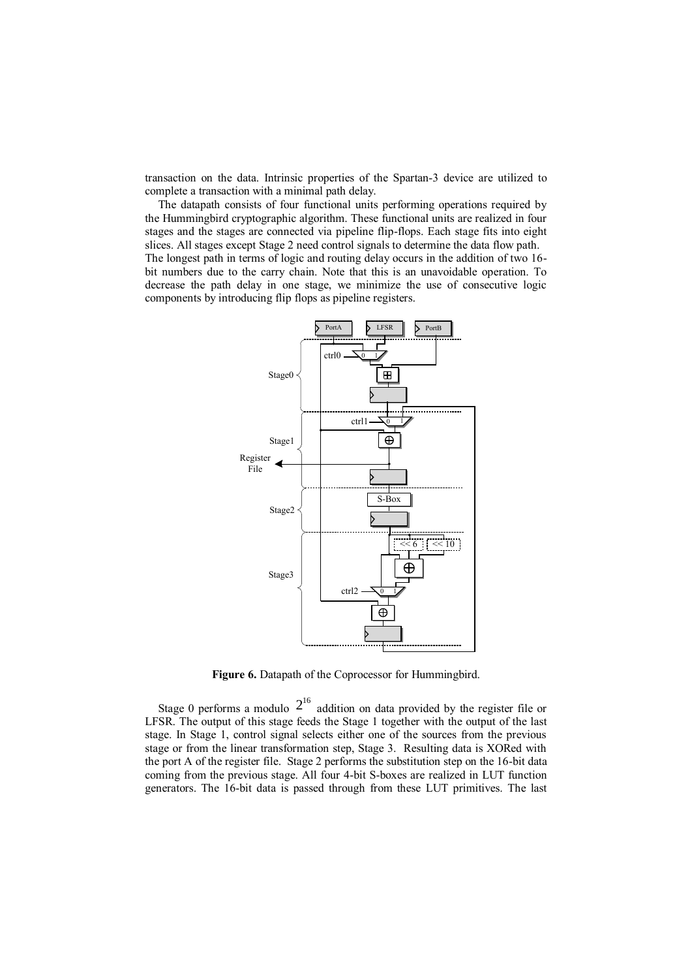transaction on the data. Intrinsic properties of the Spartan-3 device are utilized to complete a transaction with a minimal path delay.

The datapath consists of four functional units performing operations required by the Hummingbird cryptographic algorithm. These functional units are realized in four stages and the stages are connected via pipeline flip-flops. Each stage fits into eight slices. All stages except Stage 2 need control signals to determine the data flow path. The longest path in terms of logic and routing delay occurs in the addition of two 16 bit numbers due to the carry chain. Note that this is an unavoidable operation. To decrease the path delay in one stage, we minimize the use of consecutive logic components by introducing flip flops as pipeline registers.



Figure 6. Datapath of the Coprocessor for Hummingbird.

Stage 0 performs a modulo  $2^{16}$  addition on data provided by the register file or LFSR. The output of this stage feeds the Stage 1 together with the output of the last stage. In Stage 1, control signal selects either one of the sources from the previous stage or from the linear transformation step, Stage 3. Resulting data is XORed with the port A of the register file. Stage 2 performs the substitution step on the 16-bit data coming from the previous stage. All four 4-bit S-boxes are realized in LUT function generators. The 16-bit data is passed through from these LUT primitives. The last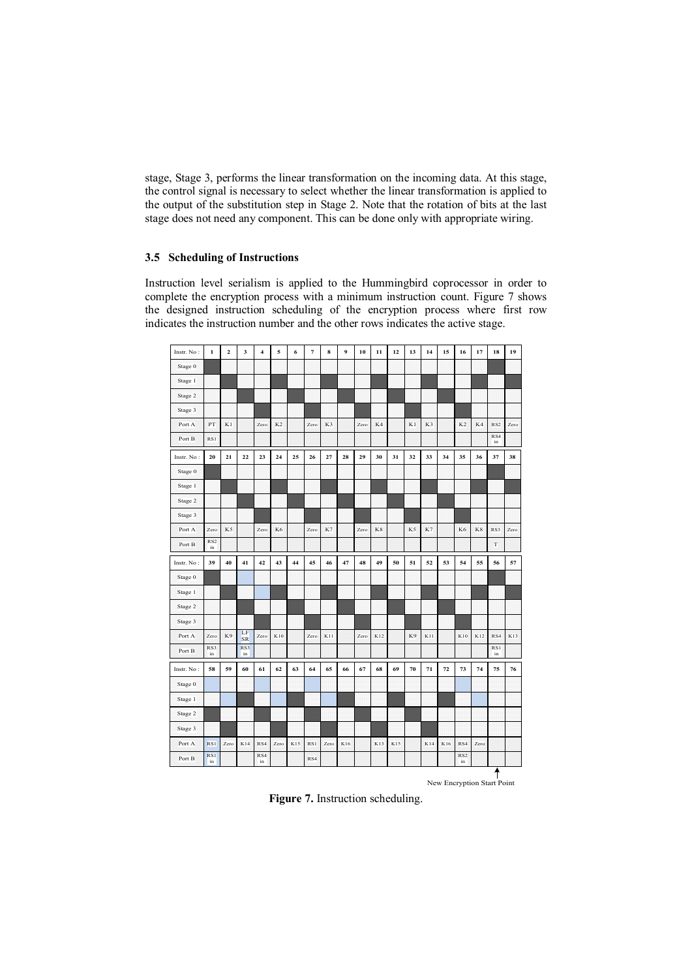stage, Stage 3, performs the linear transformation on the incoming data. At this stage, the control signal is necessary to select whether the linear transformation is applied to the output of the substitution step in Stage 2. Note that the rotation of bits at the last stage does not need any component. This can be done only with appropriate wiring.

### **3.5 Scheduling of Instructions**

Instruction level serialism is applied to the Hummingbird coprocessor in order to complete the encryption process with a minimum instruction count. Figure 7 shows the designed instruction scheduling of the encryption process where first row indicates the instruction number and the other rows indicates the active stage.

| Instr. No: | $\mathbf{1}$          | $\overline{2}$ | 3               | $\overline{\mathbf{4}}$ | 5              | 6   | $\overline{7}$ | 8    | 9   | 10   | 11  | 12  | 13 | 14             | 15  | 16                    | 17   | 18              | 19   |
|------------|-----------------------|----------------|-----------------|-------------------------|----------------|-----|----------------|------|-----|------|-----|-----|----|----------------|-----|-----------------------|------|-----------------|------|
| Stage 0    |                       |                |                 |                         |                |     |                |      |     |      |     |     |    |                |     |                       |      |                 |      |
| Stage 1    |                       |                |                 |                         |                |     |                |      |     |      |     |     |    |                |     |                       |      |                 |      |
| Stage 2    |                       |                |                 |                         |                |     |                |      |     |      |     |     |    |                |     |                       |      |                 |      |
| Stage 3    |                       |                |                 |                         |                |     |                |      |     |      |     |     |    |                |     |                       |      |                 |      |
| Port A     | PT                    | K1             |                 | Zero                    | K <sub>2</sub> |     | Zero           | K3   |     | Zero | K4  |     | K1 | K <sub>3</sub> |     | K <sub>2</sub>        | K4   | RS <sub>2</sub> | Zero |
| Port B     | RS1                   |                |                 |                         |                |     |                |      |     |      |     |     |    |                |     |                       |      | RS4<br>in       |      |
| Instr. No: | 20                    | 21             | 22              | 23                      | 24             | 25  | 26             | 27   | 28  | 29   | 30  | 31  | 32 | 33             | 34  | 35                    | 36   | 37              | 38   |
| Stage 0    |                       |                |                 |                         |                |     |                |      |     |      |     |     |    |                |     |                       |      |                 |      |
| Stage 1    |                       |                |                 |                         |                |     |                |      |     |      |     |     |    |                |     |                       |      |                 |      |
| Stage 2    |                       |                |                 |                         |                |     |                |      |     |      |     |     |    |                |     |                       |      |                 |      |
| Stage 3    |                       |                |                 |                         |                |     |                |      |     |      |     |     |    |                |     |                       |      |                 |      |
| Port A     | Zero                  | K5             |                 | Zero                    | K <sub>6</sub> |     | Zero           | K7   |     | Zero | K8  |     | K5 | K7             |     | K <sub>6</sub>        | K8   | RS3             | Zero |
| Port B     | RS <sub>2</sub><br>in |                |                 |                         |                |     |                |      |     |      |     |     |    |                |     |                       |      | $\mathbf T$     |      |
| Instr. No: | 39                    | 40             | 41              | 42                      | 43             | 44  | 45             | 46   | 47  | 48   | 49  | 50  | 51 | 52             | 53  | 54                    | 55   | 56              | 57   |
| Stage 0    |                       |                |                 |                         |                |     |                |      |     |      |     |     |    |                |     |                       |      |                 |      |
| Stage 1    |                       |                |                 |                         |                |     |                |      |     |      |     |     |    |                |     |                       |      |                 |      |
| Stage 2    |                       |                |                 |                         |                |     |                |      |     |      |     |     |    |                |     |                       |      |                 |      |
| Stage 3    |                       |                |                 |                         |                |     |                |      |     |      |     |     |    |                |     |                       |      |                 |      |
| Port A     | Zero                  | K9             | LF<br><b>SR</b> | <b>Zero</b>             | K10            |     | Zero           | K11  |     | Zero | K12 |     | K9 | K11            |     | K10                   | K12  | RS4             | K13  |
| Port B     | RS3<br>in             |                | RS3<br>in       |                         |                |     |                |      |     |      |     |     |    |                |     |                       |      | RS1<br>in       |      |
| Instr. No: | 58                    | 59             | 60              | 61                      | 62             | 63  | 64             | 65   | 66  | 67   | 68  | 69  | 70 | 71             | 72  | 73                    | 74   | 75              | 76   |
| Stage 0    |                       |                |                 |                         |                |     |                |      |     |      |     |     |    |                |     |                       |      |                 |      |
| Stage 1    |                       |                |                 |                         |                |     |                |      |     |      |     |     |    |                |     |                       |      |                 |      |
| Stage 2    |                       |                |                 |                         |                |     |                |      |     |      |     |     |    |                |     |                       |      |                 |      |
| Stage 3    |                       |                |                 |                         |                |     |                |      |     |      |     |     |    |                |     |                       |      |                 |      |
| Port A     | RS1                   | Zero           | K14             | RS4                     | Zero           | K15 | RS1            | Zero | K16 |      | K13 | K15 |    | K14            | K16 | RS4                   | Zero |                 |      |
| Port B     | RS1<br>in             |                |                 | RS4<br>in               |                |     | RS4            |      |     |      |     |     |    |                |     | RS <sub>2</sub><br>in |      |                 |      |

New Encryption Start Point

**Figure 7.** Instruction scheduling.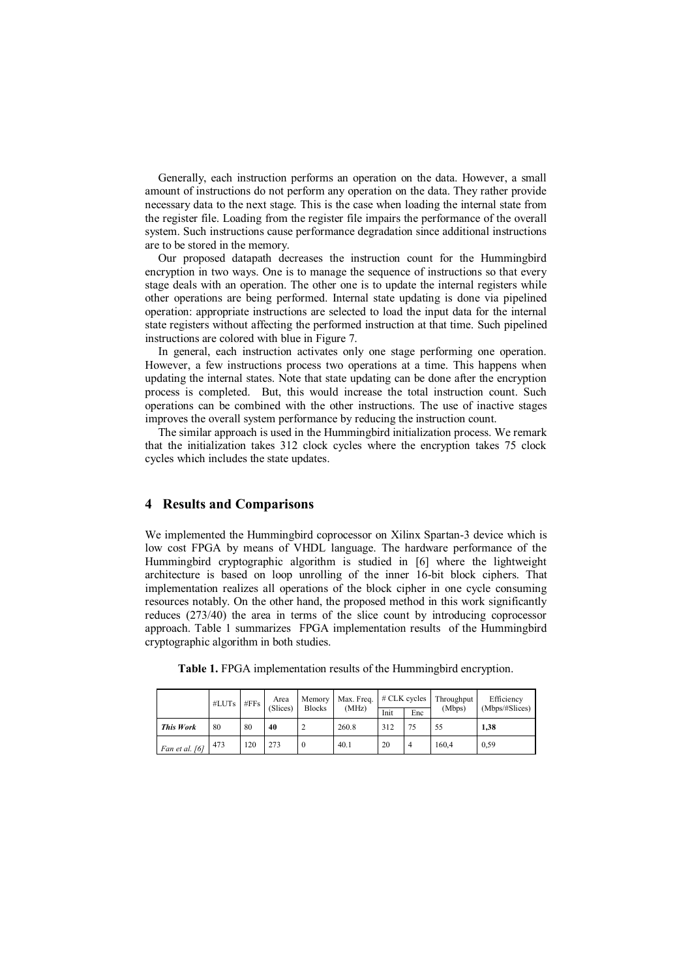Generally, each instruction performs an operation on the data. However, a small amount of instructions do not perform any operation on the data. They rather provide necessary data to the next stage. This is the case when loading the internal state from the register file. Loading from the register file impairs the performance of the overall system. Such instructions cause performance degradation since additional instructions are to be stored in the memory.

Our proposed datapath decreases the instruction count for the Hummingbird encryption in two ways. One is to manage the sequence of instructions so that every stage deals with an operation. The other one is to update the internal registers while other operations are being performed. Internal state updating is done via pipelined operation: appropriate instructions are selected to load the input data for the internal state registers without affecting the performed instruction at that time. Such pipelined instructions are colored with blue in Figure 7.

In general, each instruction activates only one stage performing one operation. However, a few instructions process two operations at a time. This happens when updating the internal states. Note that state updating can be done after the encryption process is completed. But, this would increase the total instruction count. Such operations can be combined with the other instructions. The use of inactive stages improves the overall system performance by reducing the instruction count.

The similar approach is used in the Hummingbird initialization process. We remark that the initialization takes 312 clock cycles where the encryption takes 75 clock cycles which includes the state updates.

### **4 Results and Comparisons**

We implemented the Hummingbird coprocessor on Xilinx Spartan-3 device which is low cost FPGA by means of VHDL language. The hardware performance of the Hummingbird cryptographic algorithm is studied in [6] where the lightweight architecture is based on loop unrolling of the inner 16-bit block ciphers. That implementation realizes all operations of the block cipher in one cycle consuming resources notably. On the other hand, the proposed method in this work significantly reduces (273/40) the area in terms of the slice count by introducing coprocessor approach. Table 1 summarizes FPGA implementation results of the Hummingbird cryptographic algorithm in both studies.

|                  | $#LUTs$ $#FFs$ |     | Area<br>(Slices) | <b>Blocks</b> | Memory   Max. Freq.   # CLK cycles |      |                | Throughput | Efficiency     |  |
|------------------|----------------|-----|------------------|---------------|------------------------------------|------|----------------|------------|----------------|--|
|                  |                |     |                  |               | (MHz)                              | Init | Enc            | (Mbps)     | (Mbps/#Slices) |  |
| <b>This Work</b> | 80             | 80  | 40               |               | 260.8                              | 312  | 75             | 55         | 1.38           |  |
| Fan et al. [6]   | 473            | 120 | 273              | $\mathbf{0}$  | 40.1                               | 20   | $\overline{4}$ | 160,4      | 0.59           |  |

**Table 1.** FPGA implementation results of the Hummingbird encryption.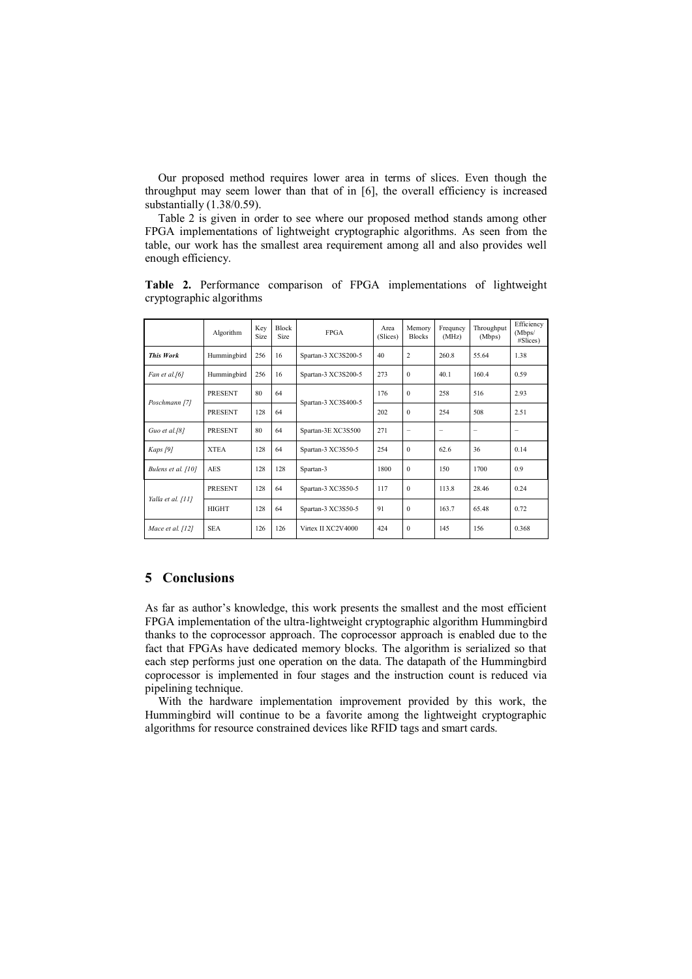Our proposed method requires lower area in terms of slices. Even though the throughput may seem lower than that of in [6], the overall efficiency is increased substantially (1.38/0.59).

Table 2 is given in order to see where our proposed method stands among other FPGA implementations of lightweight cryptographic algorithms. As seen from the table, our work has the smallest area requirement among all and also provides well enough efficiency.

|                    | Algorithm             | Key<br>Size | <b>Block</b><br>Size | <b>FPGA</b>         | Area<br>(Slices) | Memory<br><b>Blocks</b> | Frequncy<br>(MHz) | Throughput<br>(Mbps) | Efficiency<br>(Mbps/<br>$#Slices$ ) |
|--------------------|-----------------------|-------------|----------------------|---------------------|------------------|-------------------------|-------------------|----------------------|-------------------------------------|
| <b>This Work</b>   | Hummingbird           | 256         | 16                   | Spartan-3 XC3S200-5 | 40               | $\overline{c}$          | 260.8             | 55.64                | 1.38                                |
| Fan et al.[6]      | Hummingbird           | 256         | 16                   | Spartan-3 XC3S200-5 | 273              | $\mathbf{0}$            | 40.1              | 160.4                | 0.59                                |
| Poschmann [7]      | <b>PRESENT</b>        | 80          | 64                   |                     | 176              | $\Omega$                | 258               | 516                  | 2.93                                |
|                    | <b>PRESENT</b>        | 128         | 64                   | Spartan-3 XC3S400-5 | 202              | $\Omega$                | 254               | 508                  | 2.51                                |
| Guo et al.[8]      | <b>PRESENT</b>        | 80          | 64                   | Spartan-3E XC3S500  | 271              | $\equiv$                |                   | -                    |                                     |
| Kaps [9]           | <b>XTEA</b>           | 128         | 64                   | Spartan-3 XC3S50-5  | 254              | $\Omega$                | 62.6              | 36                   | 0.14                                |
| Bulens et al. [10] | <b>AES</b>            | 128         | 128                  | Spartan-3           | 1800             | $\mathbf{0}$            | 150               | 1700                 | 0.9                                 |
|                    | <b>PRESENT</b><br>128 |             | 64                   | Spartan-3 XC3S50-5  | 117              | $\Omega$                | 113.8             | 28 46                | 0 24                                |
| Yalla et al. [11]  | <b>HIGHT</b>          | 128         | 64                   | Spartan-3 XC3S50-5  | 91               | $\mathbf{0}$            | 163.7             | 65 48                | 0.72                                |
| Mace et al. [12]   | <b>SEA</b>            | 126         | 126                  | Virtex II XC2V4000  | 424              | $\Omega$                | 145               | 156                  | 0.368                               |

**Table 2.** Performance comparison of FPGA implementations of lightweight cryptographic algorithms

# **5 Conclusions**

As far as author's knowledge, this work presents the smallest and the most efficient FPGA implementation of the ultra-lightweight cryptographic algorithm Hummingbird thanks to the coprocessor approach. The coprocessor approach is enabled due to the fact that FPGAs have dedicated memory blocks. The algorithm is serialized so that each step performs just one operation on the data. The datapath of the Hummingbird coprocessor is implemented in four stages and the instruction count is reduced via pipelining technique.

With the hardware implementation improvement provided by this work, the Hummingbird will continue to be a favorite among the lightweight cryptographic algorithms for resource constrained devices like RFID tags and smart cards.